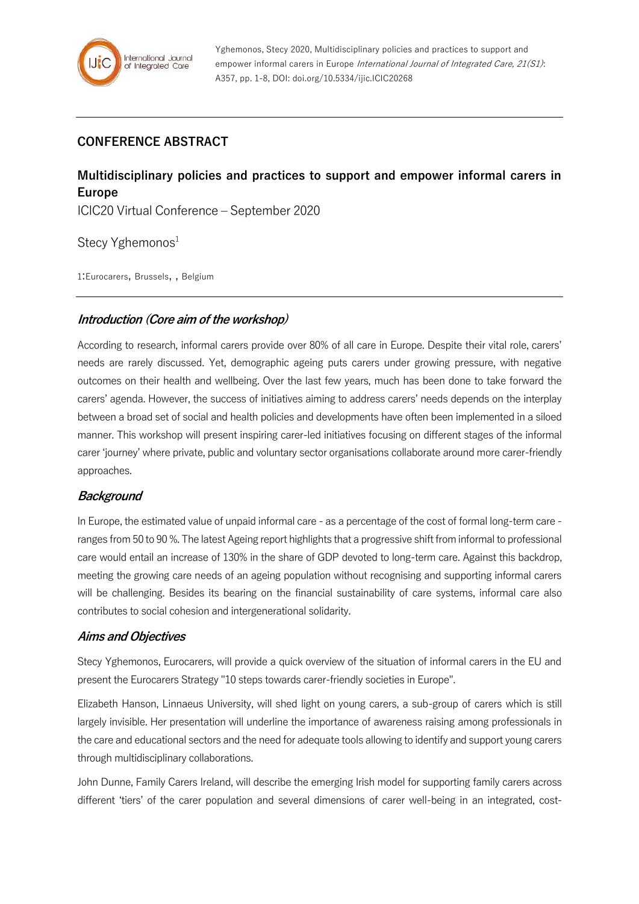# **CONFERENCE ABSTRACT**

# **Multidisciplinary policies and practices to support and empower informal carers in Europe**

ICIC20 Virtual Conference – September 2020

Stecy Yghemonos<sup>1</sup>

1:Eurocarers, Brussels, , Belgium

### **Introduction (Core aim of the workshop)**

According to research, informal carers provide over 80% of all care in Europe. Despite their vital role, carers' needs are rarely discussed. Yet, demographic ageing puts carers under growing pressure, with negative outcomes on their health and wellbeing. Over the last few years, much has been done to take forward the carers' agenda. However, the success of initiatives aiming to address carers' needs depends on the interplay between a broad set of social and health policies and developments have often been implemented in a siloed manner. This workshop will present inspiring carer-led initiatives focusing on different stages of the informal carer 'journey' where private, public and voluntary sector organisations collaborate around more carer-friendly approaches.

# **Background**

In Europe, the estimated value of unpaid informal care - as a percentage of the cost of formal long-term care ranges from 50 to 90 %. The latest Ageing report highlights that a progressive shift from informal to professional care would entail an increase of 130% in the share of GDP devoted to long-term care. Against this backdrop, meeting the growing care needs of an ageing population without recognising and supporting informal carers will be challenging. Besides its bearing on the financial sustainability of care systems, informal care also contributes to social cohesion and intergenerational solidarity.

#### **Aims and Objectives**

Stecy Yghemonos, Eurocarers, will provide a quick overview of the situation of informal carers in the EU and present the Eurocarers Strategy "10 steps towards carer-friendly societies in Europe".

Elizabeth Hanson, Linnaeus University, will shed light on young carers, a sub-group of carers which is still largely invisible. Her presentation will underline the importance of awareness raising among professionals in the care and educational sectors and the need for adequate tools allowing to identify and support young carers through multidisciplinary collaborations.

John Dunne, Family Carers Ireland, will describe the emerging Irish model for supporting family carers across different 'tiers' of the carer population and several dimensions of carer well-being in an integrated, cost